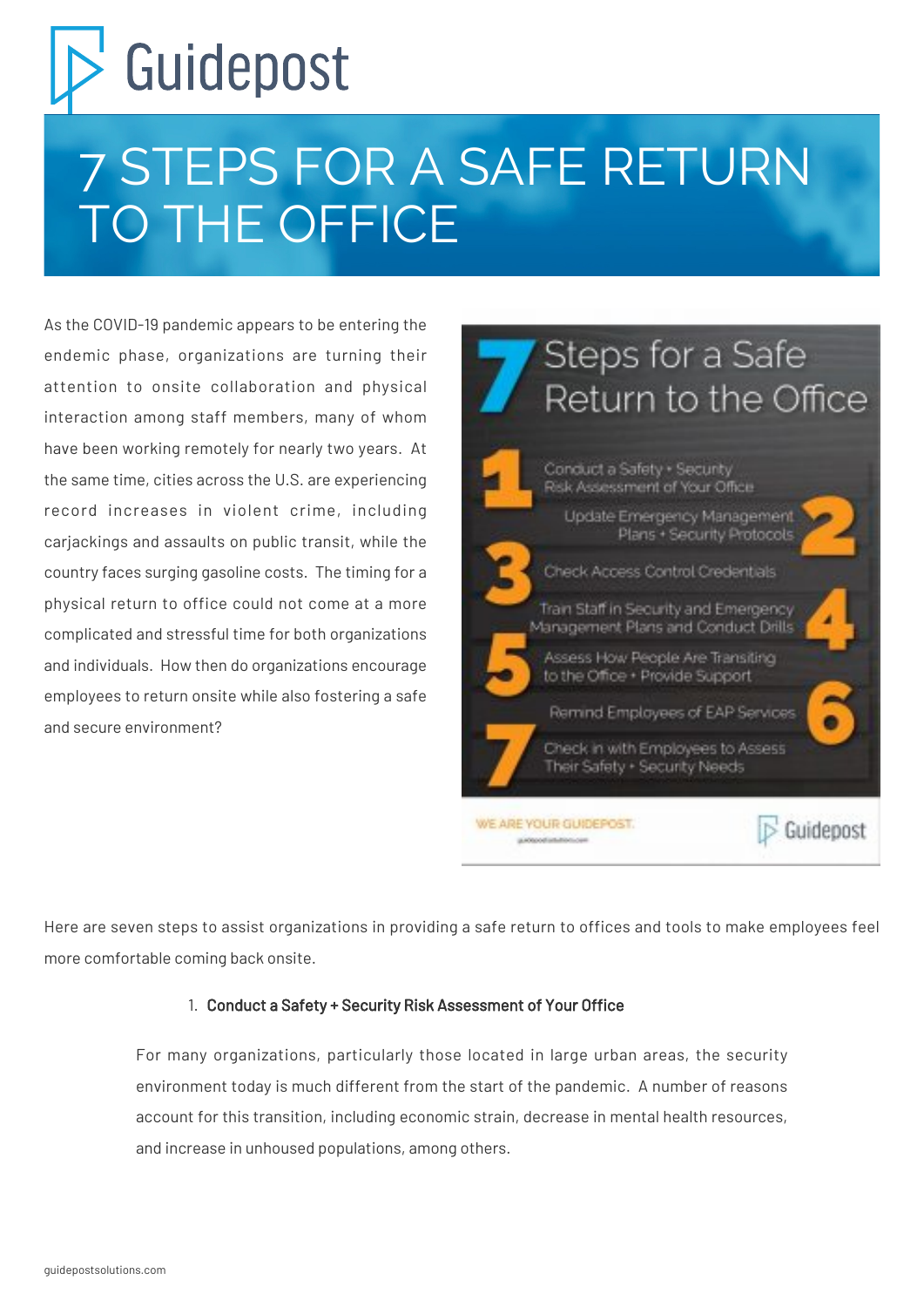# Guidepost

## 7 STEPS FOR A SAFE RETURN TO THE OFFICE

As the COVID-19 pandemic appears to be entering the endemic phase, organizations are turning their attention to onsite collaboration and physical interaction among staff members, many of whom have been working remotely for nearly two years. At the same time, cities across the U.S. are experiencing record increases in violent crime, including cariackings and assaults on public transit, while the country faces surging gasoline costs. The timing for a physical return to office could not come at a more complicated and stressful time for both organizations and individuals. How then do organizations encourage employees to return onsite while also fostering a safe and secure environment?



Here are seven steps to assist organizations in providing a safe return to offices and tools to make employees feel more comfortable coming back onsite.

#### 1. Conduct a Safety + Security Risk Assessment of Your Office

For many organizations, particularly those located in large urban areas, the security environment today is much different from the start of the pandemic. A number of reasons account for this transition, including economic strain, decrease in mental health resources, and increase in unhoused populations, among others.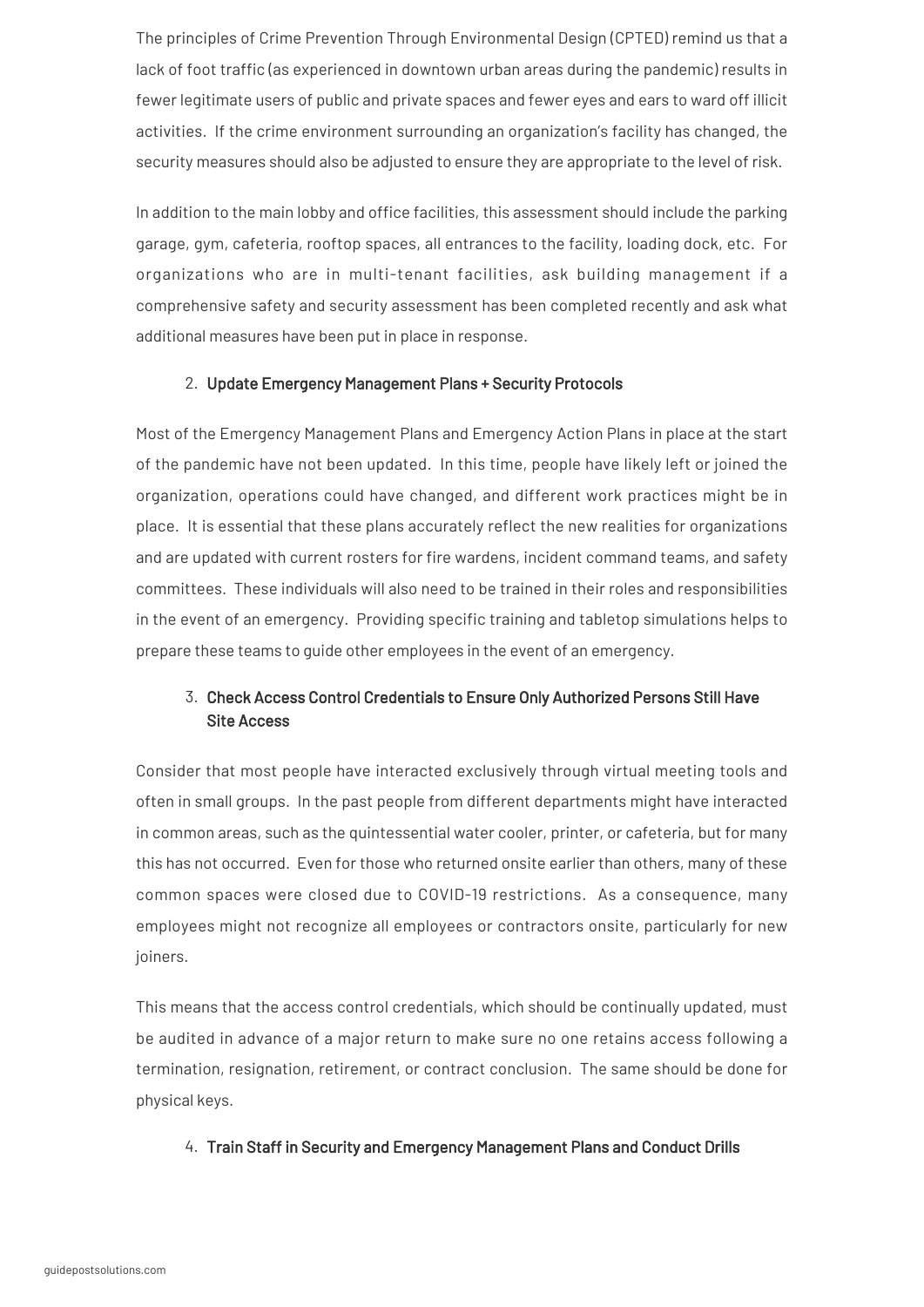The principles of Crime Prevention Through Environmental Design (CPTED) remind us that a lack of foot traffic (as experienced in downtown urban areas during the pandemic) results in fewer legitimate users of public and private spaces and fewer eyes and ears to ward off illicit activities. If the crime environment surrounding an organization's facility has changed, the security measures should also be adjusted to ensure they are appropriate to the level of risk.

In addition to the main lobby and office facilities, this assessment should include the parking garage, gym, cafeteria, rooftop spaces, all entrances to the facility, loading dock, etc. For organizations who are in multi-tenant facilities, ask building management if a comprehensive safety and security assessment has been completed recently and ask what additional measures have been put in place in response.

#### 2. Update Emergency Management Plans + Security Protocols

Most of the Emergency Management Plans and Emergency Action Plans in place at the start of the pandemic have not been updated. In this time, people have likely left or joined the organization, operations could have changed, and different work practices might be in place. It is essential that these plans accurately reflect the new realities for organizations and are updated with current rosters for fire wardens, incident command teams, and safety committees. These individuals will also need to be trained in their roles and responsibilities in the event of an emergency. Providing specific training and tabletop simulations helps to prepare these teams to guide other employees in the event of an emergency.

#### 3. Check Access Control Credentials to Ensure Only Authorized Persons Still Have Site Access

Consider that most people have interacted exclusively through virtual meeting tools and often in small groups. In the past people from different departments might have interacted in common areas, such as the quintessential water cooler, printer, or cafeteria, but for many this has not occurred. Even for those who returned onsite earlier than others, many of these common spaces were closed due to COVID-19 restrictions. As a consequence, many employees might not recognize all employees or contractors onsite, particularly for new joiners.

This means that the access control credentials, which should be continually updated, must be audited in advance of a major return to make sure no one retains access following a termination, resignation, retirement, or contract conclusion. The same should be done for physical keys.

4. Train Staff in Security and Emergency Management Plans and Conduct Drills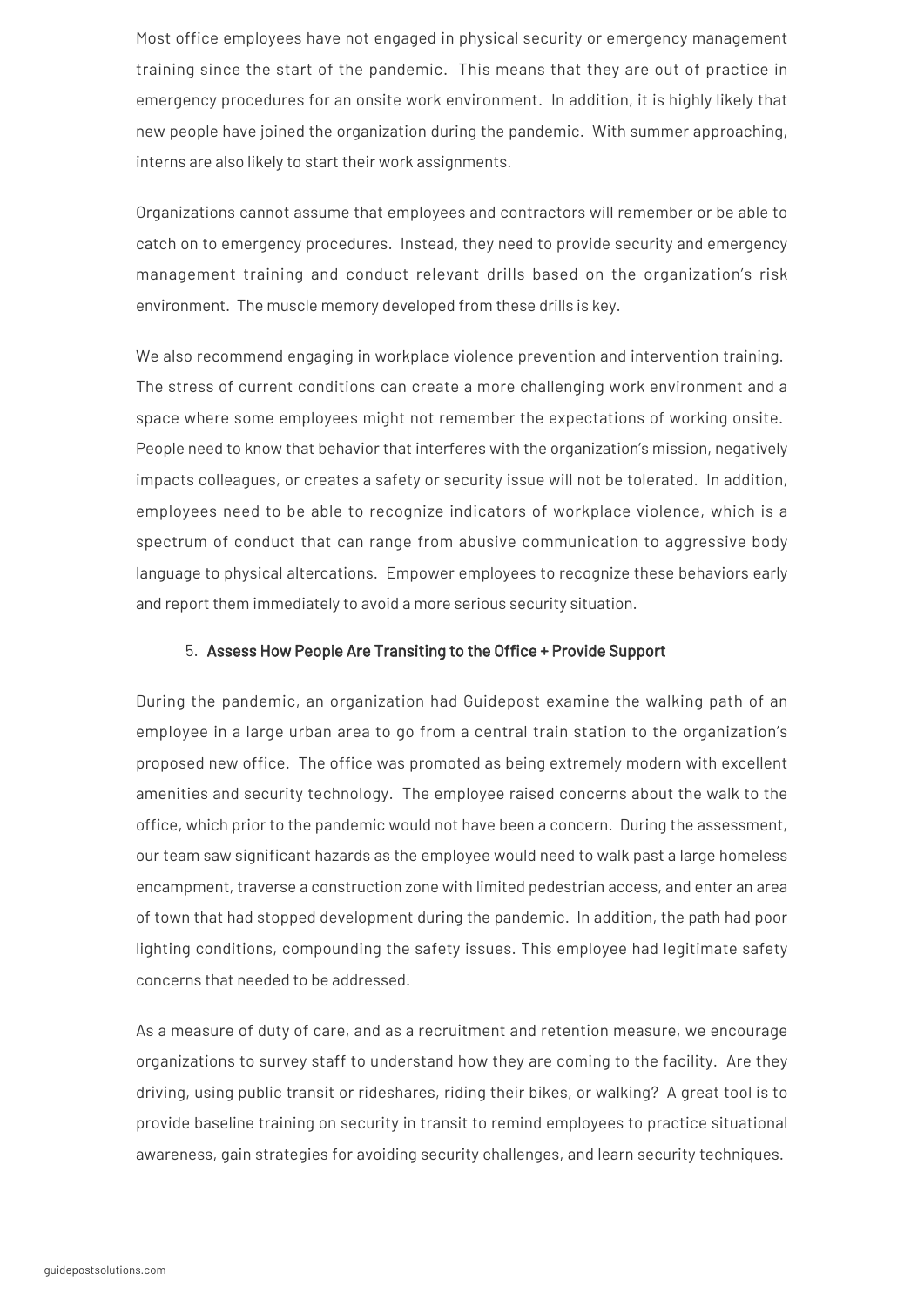Most office employees have not engaged in physical security or emergency management training since the start of the pandemic. This means that they are out of practice in emergency procedures for an onsite work environment. In addition, it is highly likely that new people have joined the organization during the pandemic. With summer approaching, interns are also likely to start their work assignments.

Organizations cannot assume that employees and contractors will remember or be able to catch on to emergency procedures. Instead, they need to provide security and emergency management training and conduct relevant drills based on the organization's risk environment. The muscle memory developed from these drills is key.

We also recommend engaging in workplace violence prevention and intervention training. The stress of current conditions can create a more challenging work environment and a space where some employees might not remember the expectations of working onsite. People need to know that behavior that interferes with the organization's mission, negatively impacts colleagues, or creates a safety or security issue will not be tolerated. In addition, employees need to be able to recognize indicators of workplace violence, which is a spectrum of conduct that can range from abusive communication to aggressive body language to physical altercations. Empower employees to recognize these behaviors early and report them immediately to avoid a more serious security situation.

#### 5. Assess How People Are Transiting to the Office + Provide Support

During the pandemic, an organization had Guidepost examine the walking path of an employee in a large urban area to go from a central train station to the organization's proposed new office. The office was promoted as being extremely modern with excellent amenities and security technology. The employee raised concerns about the walk to the office, which prior to the pandemic would not have been a concern. During the assessment, our team saw significant hazards as the employee would need to walk past a large homeless encampment, traverse a construction zone with limited pedestrian access, and enter an area of town that had stopped development during the pandemic. In addition, the path had poor lighting conditions, compounding the safety issues. This employee had legitimate safety concerns that needed to be addressed.

As a measure of duty of care, and as a recruitment and retention measure, we encourage organizations to survey staff to understand how they are coming to the facility. Are they driving, using public transit or rideshares, riding their bikes, or walking? A great tool is to provide baseline training on security in transit to remind employees to practice situational awareness, gain strategies for avoiding security challenges, and learn security techniques.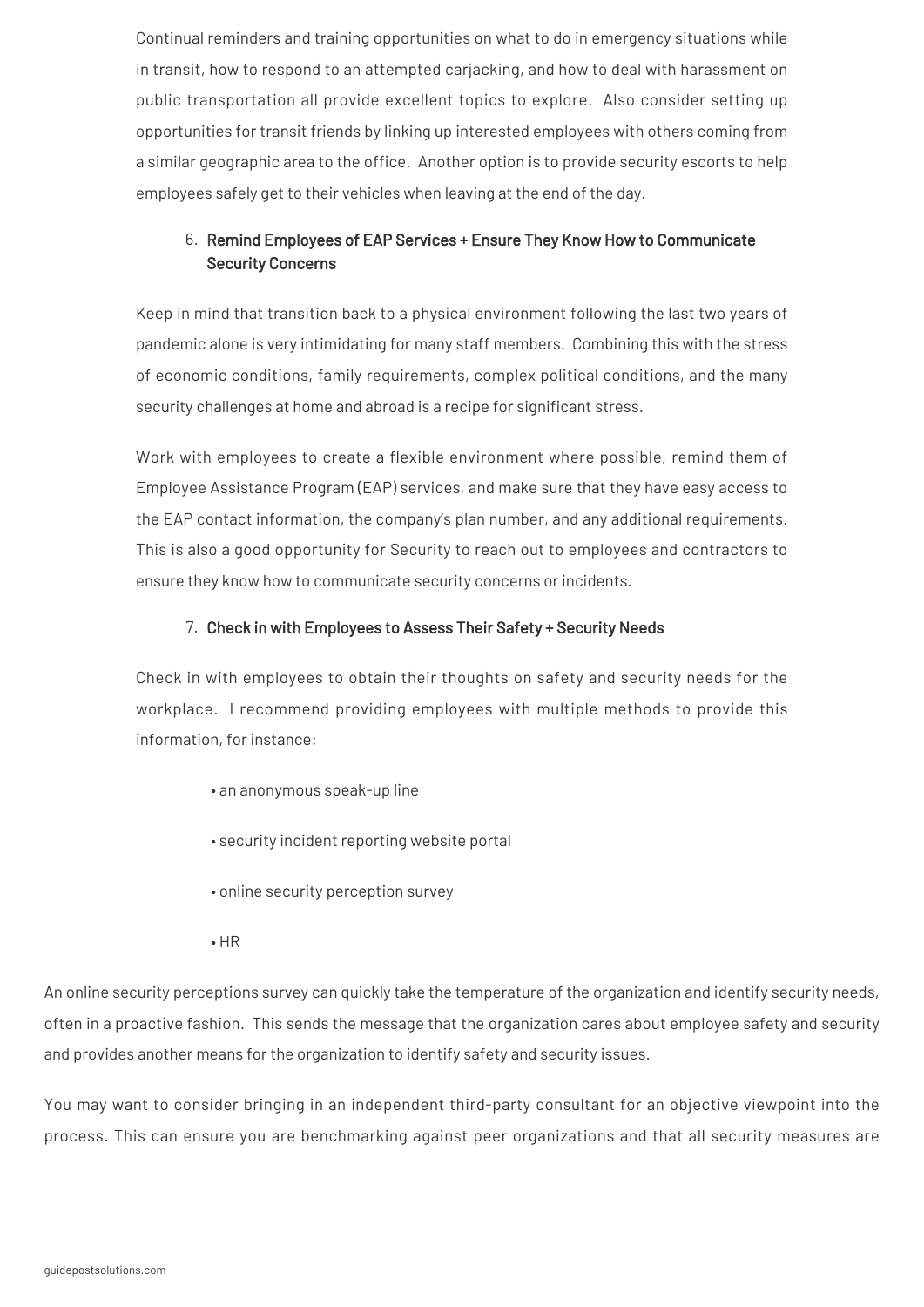Continual reminders and training opportunities on what to do in emergency situations while in transit, how to respond to an attempted carjacking, and how to deal with harassment on public transportation all provide excellent topics to explore. Also consider setting up opportunities for transit friends by linking up interested employees with others coming from a similar geographic area to the office. Another option is to provide security escorts to help employees safely get to their vehicles when leaving at the end of the day.

#### 6. Remind Employees of EAP Services + Ensure They Know How to Communicate Security Concerns

Keep in mind that transition back to a physical environment following the last two years of pandemic alone is very intimidating for many staff members. Combining this with the stress of economic conditions, family requirements, complex political conditions, and the many security challenges at home and abroad is a recipe for significant stress.

Work with employees to create a flexible environment where possible, remind them of Employee Assistance Program (EAP) services, and make sure that they have easy access to the EAP contact information, the company's plan number, and any additional requirements. This is also a good opportunity for Security to reach out to employees and contractors to ensure they know how to communicate security concerns or incidents.

#### 7. Check in with Employees to Assess Their Safety + Security Needs

Check in with employees to obtain their thoughts on safety and security needs for the workplace. I recommend providing employees with multiple methods to provide this information, for instance:

- an anonymous speak-up line
- security incident reporting website portal
- online security perception survey
- HR

An online security perceptions survey can quickly take the temperature of the organization and identify security needs, often in a proactive fashion. This sends the message that the organization cares about employee safety and security and provides another means for the organization to identify safety and security issues.

You may want to consider bringing in an independent third-party consultant for an objective viewpoint into the process. This can ensure you are benchmarking against peer organizations and that all security measures are